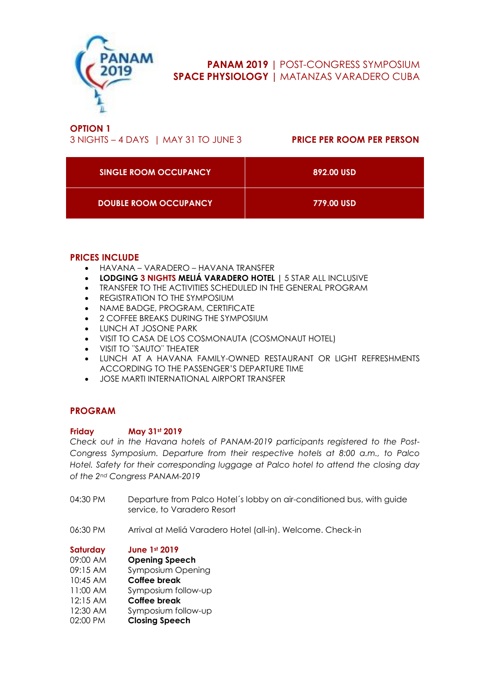

# **PANAM 2019 |** POST-CONGRESS SYMPOSIUM **SPACE PHYSIOLOGY |** MATANZAS VARADERO CUBA

**OPTION 1** 3 NIGHTS – 4 DAYS | MAY 31 TO JUNE 3 **PRICE PER ROOM PER PERSON**

| SINGLE ROOM OCCUPANCY        | 892.00 USD |
|------------------------------|------------|
| <b>DOUBLE ROOM OCCUPANCY</b> | 779.00 USD |

# **PRICES INCLUDE**

- HAVANA VARADERO HAVANA TRANSFER
- **LODGING 3 NIGHTS MELIÁ VARADERO HOTEL |** 5 STAR ALL INCLUSIVE
- TRANSFER TO THE ACTIVITIES SCHEDULED IN THE GENERAL PROGRAM
- REGISTRATION TO THE SYMPOSIUM
- NAME BADGE, PROGRAM, CERTIFICATE
- 2 COFFEE BREAKS DURING THE SYMPOSIUM
- LUNCH AT JOSONE PARK
- VISIT TO CASA DE LOS COSMONAUTA (COSMONAUT HOTEL)
- VISIT TO ¨SAUTO¨ THEATER
- LUNCH AT A HAVANA FAMILY-OWNED RESTAURANT OR LIGHT REFRESHMENTS ACCORDING TO THE PASSENGER'S DEPARTURE TIME
- JOSE MARTI INTERNATIONAL AIRPORT TRANSFER

# **PROGRAM**

### **Friday May 31st 2019**

*Check out in the Havana hotels of PANAM-2019 participants registered to the Post-Congress Symposium. Departure from their respective hotels at 8:00 a.m., to Palco Hotel. Safety for their corresponding luggage at Palco hotel to attend the closing day of the 2nd Congress PANAM-2019*

- 04:30 PM Departure from Palco Hotel's lobby on air-conditioned bus, with guide service, to Varadero Resort
- 06:30 PM Arrival at Meliá Varadero Hotel (all-in). Welcome. Check-in

| Saturday | <b>June 1st 2019</b>     |
|----------|--------------------------|
| 09:00 AM | <b>Opening Speech</b>    |
| 09:15 AM | <b>Symposium Opening</b> |
| 10:45 AM | <b>Coffee break</b>      |
| 11:00 AM | Symposium follow-up      |
| 12:15 AM | <b>Coffee break</b>      |
| 12:30 AM | Symposium follow-up      |
| 02:00 PM | <b>Closing Speech</b>    |